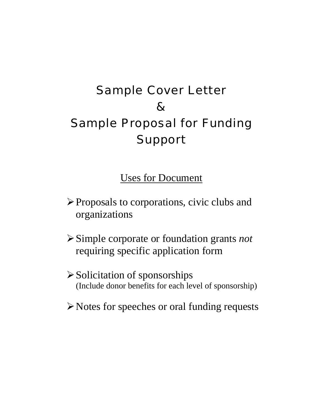# Sample Cover Letter & Sample Proposal for Funding Support

Uses for Document

- ¾Proposals to corporations, civic clubs and organizations
- ¾Simple corporate or foundation grants *not* requiring specific application form
- $\triangleright$  Solicitation of sponsorships (Include donor benefits for each level of sponsorship)
- ¾Notes for speeches or oral funding requests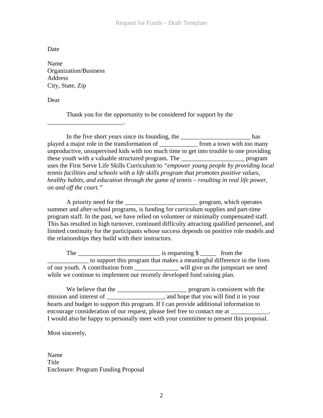Date

Name Organization/Business Address City, State, Zip

\_\_\_\_\_\_\_\_\_\_\_\_\_\_\_\_\_\_\_\_\_\_\_\_.

Dear

Thank you for the opportunity to be considered for support by the

In the five short years since its founding, the \_\_\_\_\_\_\_\_\_\_\_\_\_\_\_\_\_\_\_\_\_\_\_\_\_\_\_\_\_\_\_\_ has played a major role in the transformation of \_\_\_\_\_\_\_\_\_\_\_\_ from a town with too many unproductive, unsupervised kids with too much time to get into trouble to one providing these youth with a valuable structured program. The \_\_\_\_\_\_\_\_\_\_\_\_\_\_\_\_\_\_\_\_ program uses the First Serve Life Skills Curriculum to *"empower young people by providing local tennis facilities and schools with a life skills program that promotes positive values, healthy habits, and education through the game of tennis – resulting in real life power, on and off the court."* 

A priority need for the \_\_\_\_\_\_\_\_\_\_\_\_\_\_\_\_\_\_\_\_\_\_\_\_\_\_\_\_\_\_\_ program, which operates summer and after-school programs, is funding for curriculum supplies and part-time program staff. In the past, we have relied on volunteer or minimally compensated staff. This has resulted in high turnover, continued difficulty attracting qualified personnel, and limited continuity for the participants whose success depends on positive role models and the relationships they build with their instructors.

The  $\frac{1}{2}$  is requesting  $\frac{1}{2}$  from the \_\_\_\_\_\_\_\_\_\_\_\_\_ to support this program that makes a meaningful difference in the lives of our youth. A contribution from \_\_\_\_\_\_\_\_\_\_\_\_\_\_ will give us the jumpstart we need while we continue to implement our recently developed fund raising plan.

 We believe that the \_\_\_\_\_\_\_\_\_\_\_\_\_\_\_\_\_\_\_\_\_\_ program is consistent with the mission and interest of \_\_\_\_\_\_\_\_\_\_\_\_\_\_\_\_\_\_, and hope that you will find it in your hearts and budget to support this program. If I can provide additional information to encourage consideration of our request, please feel free to contact me at I would also be happy to personally meet with your committee to present this proposal.

Most sincerely,

Name Title Enclosure: Program Funding Proposal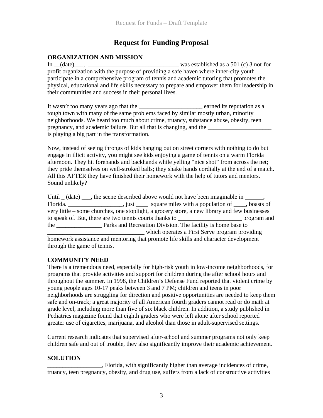## **Request for Funding Proposal**

### **ORGANIZATION AND MISSION**

In  $(date)$ ,  $\frac{1}{2}$ ,  $\frac{1}{2}$ ,  $\frac{1}{2}$ ,  $\frac{1}{2}$  ,  $\frac{1}{2}$  ,  $\frac{1}{2}$  ,  $\frac{1}{2}$  ,  $\frac{1}{2}$  ,  $\frac{1}{2}$  ,  $\frac{1}{2}$  ,  $\frac{1}{2}$  ,  $\frac{1}{2}$  ,  $\frac{1}{2}$  ,  $\frac{1}{2}$  ,  $\frac{1}{2}$  ,  $\frac{1}{2}$  ,  $\frac{1}{2}$  ,  $\frac{1}{2}$  profit organization with the purpose of providing a safe haven where inner-city youth participate in a comprehensive program of tennis and academic tutoring that promotes the physical, educational and life skills necessary to prepare and empower them for leadership in their communities and success in their personal lives.

It wasn't too many years ago that the electron contract earned its reputation as a tough town with many of the same problems faced by similar mostly urban, minority neighborhoods. We heard too much about crime, truancy, substance abuse, obesity, teen pregnancy, and academic failure. But all that is changing, and the is playing a big part in the transformation.

Now, instead of seeing throngs of kids hanging out on street corners with nothing to do but engage in illicit activity, you might see kids enjoying a game of tennis on a warm Florida afternoon. They hit forehands and backhands while yelling "nice shot" from across the net; they pride themselves on well-stroked balls; they shake hands cordially at the end of a match. All this AFTER they have finished their homework with the help of tutors and mentors. Sound unlikely?

Until  $\Box$  (date)  $\Box$ , the scene described above would not have been imaginable in  $\Box$ , Florida. \_\_\_\_\_\_\_\_\_\_\_\_\_\_\_\_\_\_\_\_\_, just \_\_\_\_\_\_ square miles with a population of \_\_\_\_, boasts of very little – some churches, one stoplight, a grocery store, a new library and few businesses to speak of. But, there are two tennis courts thanks to <u>example and</u> program and the \_\_\_\_\_\_\_\_\_\_\_\_\_\_\_ Parks and Recreation Division. The facility is home base to which operates a First Serve program providing homework assistance and mentoring that promote life skills and character development

#### **COMMUNITY NEED**

through the game of tennis.

There is a tremendous need, especially for high-risk youth in low-income neighborhoods, for programs that provide activities and support for children during the after school hours and throughout the summer. In 1998, the Children's Defense Fund reported that violent crime by young people ages 10-17 peaks between 3 and 7 PM; children and teens in poor neighborhoods are struggling for direction and positive opportunities are needed to keep them safe and on-track; a great majority of all American fourth graders cannot read or do math at grade level, including more than five of six black children. In addition, a study published in Pediatrics magazine found that eighth graders who were left alone after school reported greater use of cigarettes, marijuana, and alcohol than those in adult-supervised settings.

Current research indicates that supervised after-school and summer programs not only keep children safe and out of trouble, they also significantly improve their academic achievement.

#### **SOLUTION**

\_\_\_\_\_\_\_\_\_\_\_\_\_\_\_\_\_\_, Florida, with significantly higher than average incidences of crime, truancy, teen pregnancy, obesity, and drug use, suffers from a lack of constructive activities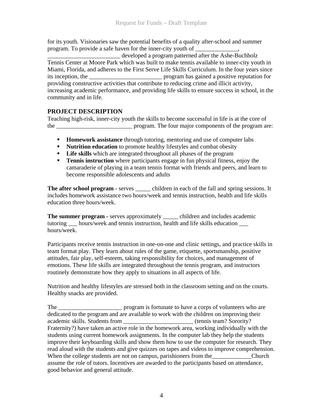for its youth. Visionaries saw the potential benefits of a quality after-school and summer program. To provide a safe haven for the inner-city youth of

developed a program patterned after the Ashe-Buchholz Tennis Center at Moore Park which was built to make tennis available to inner-city youth in Miami, Florida, and adheres to the First Serve Life Skills Curriculum. In the four years since its inception, the \_\_\_\_\_\_\_\_\_\_\_\_\_\_\_\_\_\_\_\_\_\_\_\_ program has gained a positive reputation for providing constructive activities that contribute to reducing crime and illicit activity, increasing academic performance, and providing life skills to ensure success in school, in the community and in life.

## **PROJECT DESCRIPTION**

Teaching high-risk, inner-city youth the skills to become successful in life is at the core of the \_\_\_\_\_\_\_\_\_\_\_\_\_\_\_\_\_\_\_\_\_\_\_\_\_ program. The four major components of the program are:

- **Homework assistance** through tutoring, mentoring and use of computer labs
- **Nutrition education** to promote healthy lifestyles and combat obesity
- **Life skills** which are integrated throughout all phases of the program
- **Tennis instruction** where participants engage in fun physical fitness, enjoy the camaraderie of playing in a team tennis format with friends and peers, and learn to become responsible adolescents and adults

**The after school program** - serves \_\_\_\_\_ children in each of the fall and spring sessions. It includes homework assistance two hours/week and tennis instruction, health and life skills education three hours/week.

**The summer program -** serves approximately \_\_\_\_\_ children and includes academic tutoring \_\_\_ hours/week and tennis instruction, health and life skills education \_\_\_ hours/week.

Participants receive tennis instruction in one-on-one and clinic settings, and practice skills in team format play. They learn about rules of the game, etiquette, sportsmanship, positive attitudes, fair play, self-esteem, taking responsibility for choices, and management of emotions. These life skills are integrated throughout the tennis program, and instructors routinely demonstrate how they apply to situations in all aspects of life.

Nutrition and healthy lifestyles are stressed both in the classroom setting and on the courts. Healthy snacks are provided.

The <u>entity</u> program is fortunate to have a corps of volunteers who are dedicated to the program and are available to work with the children on improving their academic skills. Students from \_\_\_\_\_\_\_\_\_\_\_\_\_\_\_\_\_\_\_\_\_\_\_ (tennis team? Sorority? Fraternity?) have taken an active role in the homework area, working individually with the students using current homework assignments. In the computer lab they help the students improve their keyboarding skills and show them how to use the computer for research. They read aloud with the students and give quizzes on tapes and videos to improve comprehension. When the college students are not on campus, parishioners from the Church assume the role of tutors. Incentives are awarded to the participants based on attendance, good behavior and general attitude.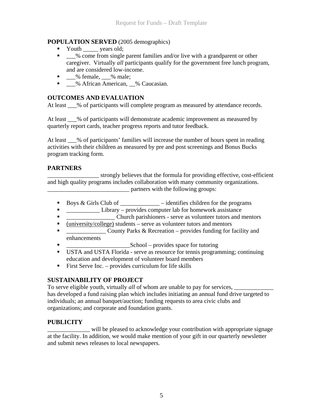### **POPULATION SERVED** (2005 demographics)

- Youth <u>\_\_\_\_</u> years old;
- \_\_\_% come from single parent families and/or live with a grandparent or other caregiver. Virtually *all* participants qualify for the government free lunch program, and are considered low-income.
- $\blacksquare$   $\blacksquare$ % female,  $\blacksquare$  % male:
- \_\_\_% African American, \_\_% Caucasian.

#### **OUTCOMES AND EVALUATION**

At least  $\%$  of participants will complete program as measured by attendance records.

At least \_\_\_% of participants will demonstrate academic improvement as measured by quarterly report cards, teacher progress reports and tutor feedback.

At least \_\_\_% of participants' families will increase the number of hours spent in reading activities with their children as measured by pre and post screenings and Bonus Bucks program tracking form.

#### **PARTNERS**

\_\_\_\_\_\_\_\_\_\_\_\_\_\_\_\_\_ strongly believes that the formula for providing effective, cost-efficient and high quality programs includes collaboration with many community organizations. partners with the following groups:

- Boys & Girls Club of \_\_\_\_\_\_\_\_\_\_\_\_\_ identifies children for the programs
- <del>\_\_\_\_\_\_\_\_\_</del> Library provides computer lab for homework assistance
- \_\_\_\_\_\_\_\_\_\_\_\_\_\_\_\_ Church parishioners serve as volunteer tutors and mentors
- $\blacksquare$  (university/college) students serve as volunteer tutors and mentors
- **Example 3** County Parks & Recreation provides funding for facility and enhancements
- School provides space for tutoring
- USTA and USTA Florida serve as resource for tennis programming; continuing education and development of volunteer board members
- First Serve Inc. provides curriculum for life skills

#### **SUSTAINABILITY OF PROJECT**

To serve eligible youth, virtually *all* of whom are unable to pay for services, has developed a fund raising plan which includes initiating an annual fund drive targeted to individuals; an annual banquet/auction; funding requests to area civic clubs and organizations; and corporate and foundation grants.

## **PUBLICITY**

will be pleased to acknowledge your contribution with appropriate signage at the facility. In addition, we would make mention of your gift in our quarterly newsletter and submit news releases to local newspapers.